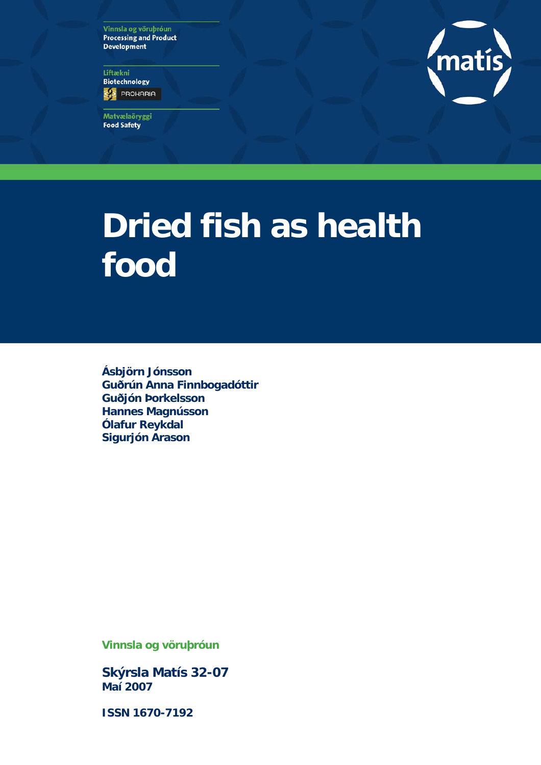Vinnsla og vöruþróun **Processing and Product Development** 

Líftækni **Biotechnology ED** PROHARIA

Matvælaöryggi **Food Safety** 



# **Dried fish as health food**

**Ásbjörn Jónsson Guðrún Anna Finnbogadóttir Guðjón Þorkelsson Hannes Magnússon Ólafur Reykdal Sigurjón Arason** 

**Vinnsla og vöruþróun** 

**Skýrsla Matís 32-07 Maí 2007** 

**ISSN 1670-7192**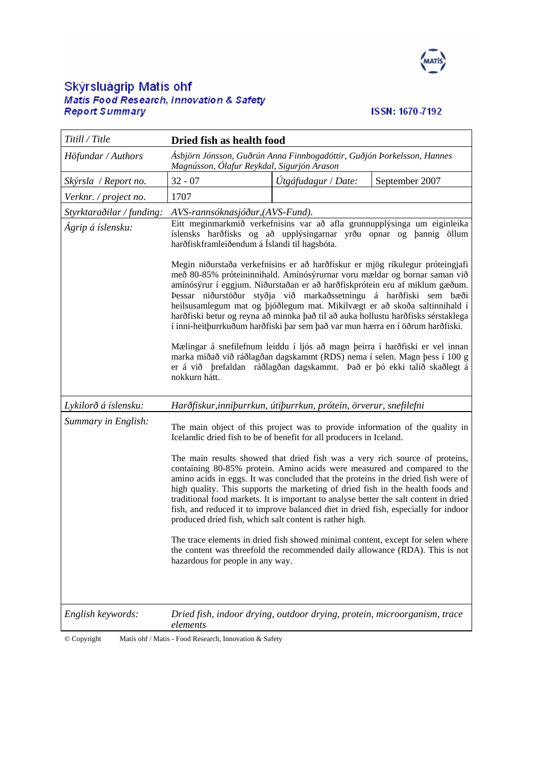

# Skýrsluágrip Matís ohf<br>Matis Food Research, Innovation & Safety<br>Report S*ummary*

# ISSN: 1670-7192

| Titill / Title                   | Dried fish as health food                                                                                                                                                                                                                                                                                                                                                                                                                                                                                                                                                 |                                       |  |  |  |  |  |
|----------------------------------|---------------------------------------------------------------------------------------------------------------------------------------------------------------------------------------------------------------------------------------------------------------------------------------------------------------------------------------------------------------------------------------------------------------------------------------------------------------------------------------------------------------------------------------------------------------------------|---------------------------------------|--|--|--|--|--|
| Höfundar / Authors               | Ásbjörn Jónsson, Guðrún Anna Finnbogadóttir, Guðjón Þorkelsson, Hannes<br>Magnússon, Ólafur Reykdal, Sigurjón Arason                                                                                                                                                                                                                                                                                                                                                                                                                                                      |                                       |  |  |  |  |  |
| Skýrsla / Report no.             | $32 - 07$                                                                                                                                                                                                                                                                                                                                                                                                                                                                                                                                                                 | Útgáfudagur / Date:<br>September 2007 |  |  |  |  |  |
| Verknr. / project no.            | 1707                                                                                                                                                                                                                                                                                                                                                                                                                                                                                                                                                                      |                                       |  |  |  |  |  |
| Styrktaraðilar / funding:        | AVS-rannsóknasjóður, (AVS-Fund).                                                                                                                                                                                                                                                                                                                                                                                                                                                                                                                                          |                                       |  |  |  |  |  |
| Ágrip á íslensku:                | Eitt meginmarkmið verkefnisins var að afla grunnupplýsinga um eiginleika<br>íslensks harðfisks og að upplýsingarnar yrðu opnar og þannig öllum<br>harðfiskframleiðendum á Íslandi til hagsbóta.<br>Megin niðurstaða verkefnisins er að harðfiskur er mjög ríkulegur próteingjafi                                                                                                                                                                                                                                                                                          |                                       |  |  |  |  |  |
|                                  | með 80-85% próteininnihald. Amínósýrurnar voru mældar og bornar saman við<br>amínósýrur í eggjum. Niðurstaðan er að harðfiskprótein eru af miklum gæðum.<br>Þessar niðurstöður styðja við markaðssetningu á harðfiski sem bæði<br>heilsusamlegum mat og þjóðlegum mat. Mikilvægt er að skoða saltinnihald í<br>harðfiski betur og reyna að minnka það til að auka hollustu harðfisks sérstaklega<br>í inni-heitþurrkuðum harðfiski þar sem það var mun hærra en í öðrum harðfiski.                                                                                        |                                       |  |  |  |  |  |
|                                  | Mælingar á snefilefnum leiddu í ljós að magn þeirra í harðfiski er vel innan<br>marka miðað við ráðlagðan dagskammt (RDS) nema í selen. Magn þess í 100 g<br>er á við þrefaldan ráðlagðan dagskammt. Það er þó ekki talið skaðlegt á<br>nokkurn hátt.                                                                                                                                                                                                                                                                                                                     |                                       |  |  |  |  |  |
| Lykilorð á íslensku:             | Harðfiskur, inniþurrkun, útiþurrkun, prótein, örverur, snefilefni                                                                                                                                                                                                                                                                                                                                                                                                                                                                                                         |                                       |  |  |  |  |  |
| Summary in English:              | The main object of this project was to provide information of the quality in<br>Icelandic dried fish to be of benefit for all producers in Iceland.                                                                                                                                                                                                                                                                                                                                                                                                                       |                                       |  |  |  |  |  |
|                                  | The main results showed that dried fish was a very rich source of proteins,<br>containing 80-85% protein. Amino acids were measured and compared to the<br>amino acids in eggs. It was concluded that the proteins in the dried fish were of<br>high quality. This supports the marketing of dried fish in the health foods and<br>traditional food markets. It is important to analyse better the salt content in dried<br>fish, and reduced it to improve balanced diet in dried fish, especially for indoor<br>produced dried fish, which salt content is rather high. |                                       |  |  |  |  |  |
|                                  | The trace elements in dried fish showed minimal content, except for selen where<br>the content was threefold the recommended daily allowance (RDA). This is not<br>hazardous for people in any way.                                                                                                                                                                                                                                                                                                                                                                       |                                       |  |  |  |  |  |
| English keywords:<br>© Copyright | Dried fish, indoor drying, outdoor drying, protein, microorganism, trace<br>elements<br>Matís ohf / Matis - Food Research, Innovation & Safety                                                                                                                                                                                                                                                                                                                                                                                                                            |                                       |  |  |  |  |  |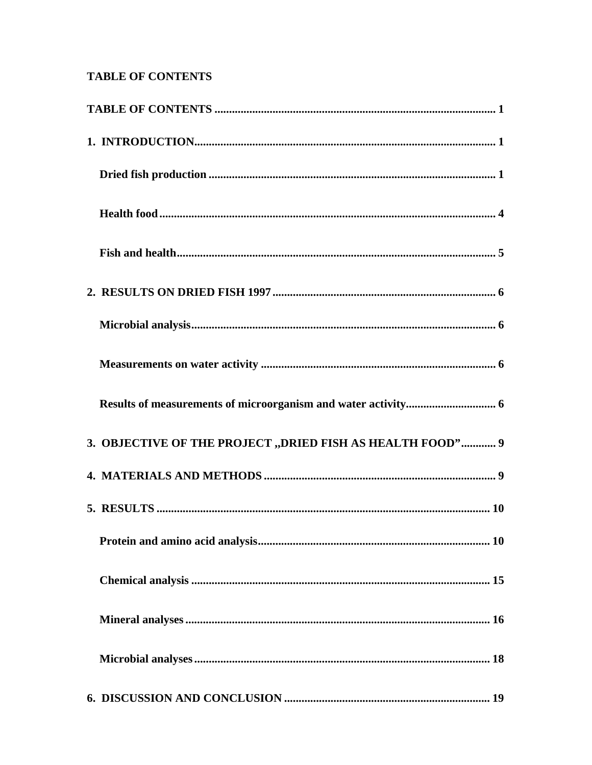# <span id="page-2-0"></span>**TABLE OF CONTENTS**

| 3. OBJECTIVE OF THE PROJECT "DRIED FISH AS HEALTH FOOD" 9 |  |
|-----------------------------------------------------------|--|
|                                                           |  |
|                                                           |  |
|                                                           |  |
|                                                           |  |
|                                                           |  |
|                                                           |  |
|                                                           |  |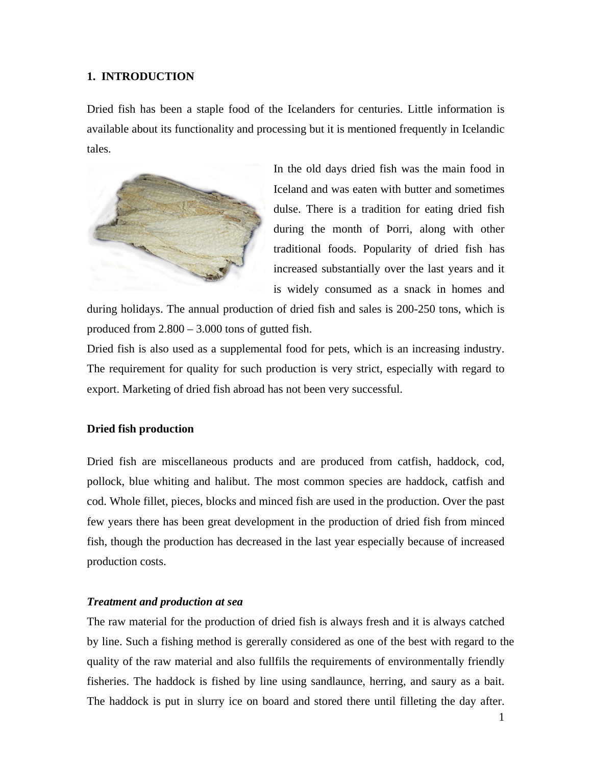#### <span id="page-4-0"></span>**1. INTRODUCTION**

Dried fish has been a staple food of the Icelanders for centuries. Little information is available about its functionality and processing but it is mentioned frequently in Icelandic tales.



In the old days dried fish was the main food in Iceland and was eaten with butter and sometimes dulse. There is a tradition for eating dried fish during the month of Þorri, along with other traditional foods. Popularity of dried fish has increased substantially over the last years and it is widely consumed as a snack in homes and

during holidays. The annual production of dried fish and sales is 200-250 tons, which is produced from 2.800 – 3.000 tons of gutted fish.

Dried fish is also used as a supplemental food for pets, which is an increasing industry. The requirement for quality for such production is very strict, especially with regard to export. Marketing of dried fish abroad has not been very successful.

#### **Dried fish production**

Dried fish are miscellaneous products and are produced from catfish, haddock, cod, pollock, blue whiting and halibut. The most common species are haddock, catfish and cod. Whole fillet, pieces, blocks and minced fish are used in the production. Over the past few years there has been great development in the production of dried fish from minced fish, though the production has decreased in the last year especially because of increased production costs.

#### *Treatment and production at sea*

The raw material for the production of dried fish is always fresh and it is always catched by line. Such a fishing method is gererally considered as one of the best with regard to the quality of the raw material and also fullfils the requirements of environmentally friendly fisheries. The haddock is fished by line using sandlaunce, herring, and saury as a bait. The haddock is put in slurry ice on board and stored there until filleting the day after.

1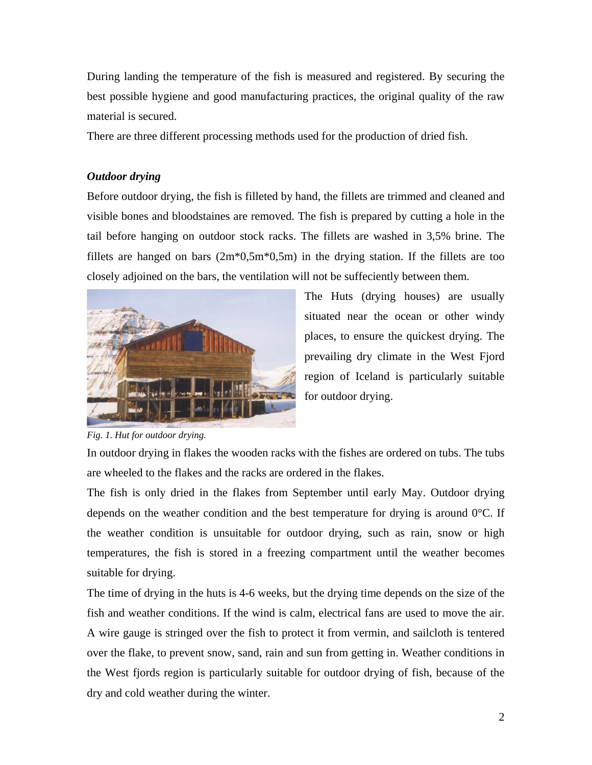During landing the temperature of the fish is measured and registered. By securing the best possible hygiene and good manufacturing practices, the original quality of the raw material is secured.

There are three different processing methods used for the production of dried fish.

# *Outdoor drying*

Before outdoor drying, the fish is filleted by hand, the fillets are trimmed and cleaned and visible bones and bloodstaines are removed. The fish is prepared by cutting a hole in the tail before hanging on outdoor stock racks. The fillets are washed in 3,5% brine. The fillets are hanged on bars  $(2m*0,5m*0,5m)$  in the drying station. If the fillets are too closely adjoined on the bars, the ventilation will not be suffeciently between them.



The Huts (drying houses) are usually situated near the ocean or other windy places, to ensure the quickest drying. The prevailing dry climate in the West Fjord region of Iceland is particularly suitable for outdoor drying.

*Fig. 1. Hut for outdoor drying.*

In outdoor drying in flakes the wooden racks with the fishes are ordered on tubs. The tubs are wheeled to the flakes and the racks are ordered in the flakes.

The fish is only dried in the flakes from September until early May. Outdoor drying depends on the weather condition and the best temperature for drying is around  $0^{\circ}$ C. If the weather condition is unsuitable for outdoor drying, such as rain, snow or high temperatures, the fish is stored in a freezing compartment until the weather becomes suitable for drying.

The time of drying in the huts is 4-6 weeks, but the drying time depends on the size of the fish and weather conditions. If the wind is calm, electrical fans are used to move the air. A wire gauge is stringed over the fish to protect it from vermin, and sailcloth is tentered over the flake, to prevent snow, sand, rain and sun from getting in. Weather conditions in the West fjords region is particularly suitable for outdoor drying of fish, because of the dry and cold weather during the winter.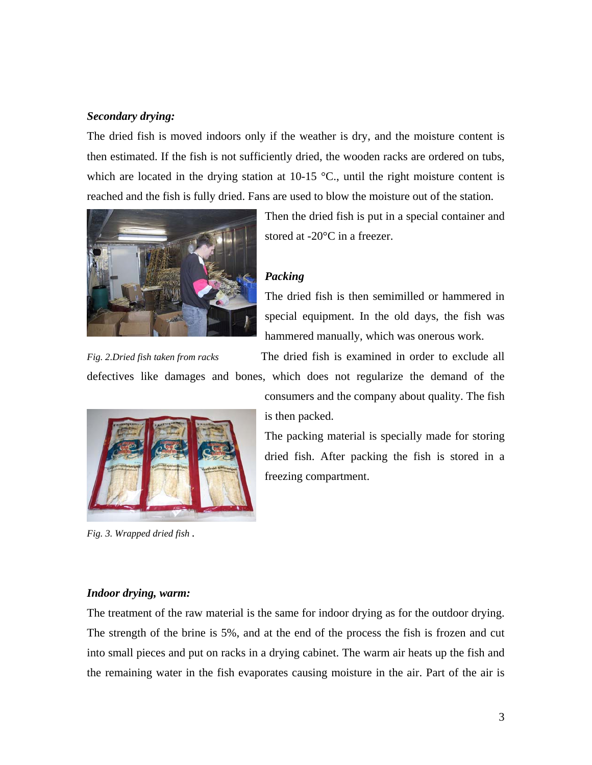## *Secondary drying:*

The dried fish is moved indoors only if the weather is dry, and the moisture content is then estimated. If the fish is not sufficiently dried, the wooden racks are ordered on tubs, which are located in the drying station at  $10-15$  °C., until the right moisture content is reached and the fish is fully dried. Fans are used to blow the moisture out of the station.



Then the dried fish is put in a special container and stored at -20°C in a freezer.

# *Packing*

The dried fish is then semimilled or hammered in special equipment. In the old days, the fish was hammered manually, which was onerous work.

*Fig. 2.Dried fish taken from racks* The dried fish is examined in order to exclude all

defectives like damages and bones, which does not regularize the demand of the



*Fig. 3. Wrapped dried fish .* 

consumers and the company about quality. The fish is then packed.

The packing material is specially made for storing dried fish. After packing the fish is stored in a freezing compartment.

#### *Indoor drying, warm:*

The treatment of the raw material is the same for indoor drying as for the outdoor drying. The strength of the brine is 5%, and at the end of the process the fish is frozen and cut into small pieces and put on racks in a drying cabinet. The warm air heats up the fish and the remaining water in the fish evaporates causing moisture in the air. Part of the air is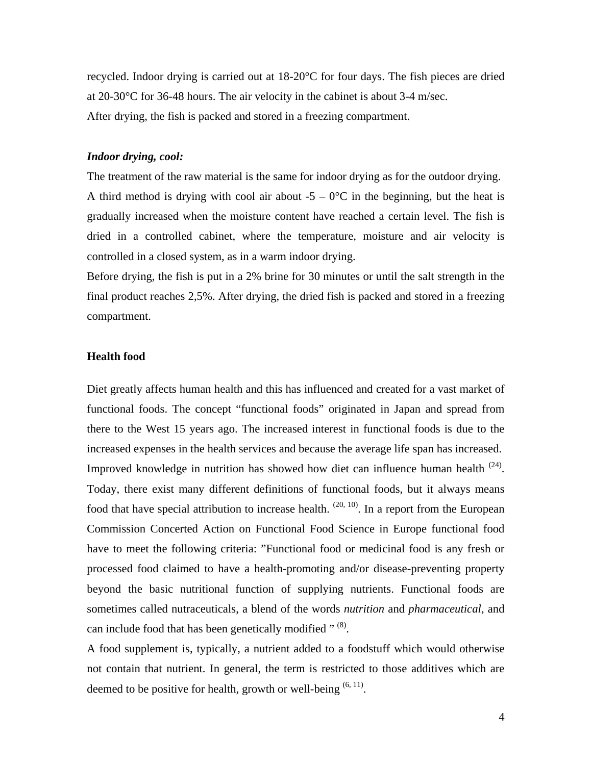<span id="page-7-0"></span>recycled. Indoor drying is carried out at 18-20°C for four days. The fish pieces are dried at 20-30°C for 36-48 hours. The air velocity in the cabinet is about 3-4 m/sec. After drying, the fish is packed and stored in a freezing compartment.

#### *Indoor drying, cool:*

The treatment of the raw material is the same for indoor drying as for the outdoor drying. A third method is drying with cool air about  $-5 - 0$ °C in the beginning, but the heat is gradually increased when the moisture content have reached a certain level. The fish is dried in a controlled cabinet, where the temperature, moisture and air velocity is controlled in a closed system, as in a warm indoor drying.

Before drying, the fish is put in a 2% brine for 30 minutes or until the salt strength in the final product reaches 2,5%. After drying, the dried fish is packed and stored in a freezing compartment.

#### **Health food**

Diet greatly affects human health and this has influenced and created for a vast market of functional foods. The concept "functional foods" originated in Japan and spread from there to the West 15 years ago. The increased interest in functional foods is due to the increased expenses in the health services and because the average life span has increased. Improved knowledge in nutrition has showed how diet can influence human health  $(24)$ . Today, there exist many different definitions of functional foods, but it always means food that have special attribution to increase health.  $(20, 10)$ . In a report from the European Commission Concerted Action on Functional Food Science in Europe functional food have to meet the following criteria: "Functional food or medicinal food is any fresh or processed food claimed to have a health-promoting and/or disease-preventing property beyond the basic nutritional function of supplying nutrients. Functional foods are sometimes called nutraceuticals, a blend of the words *nutrition* and *pharmaceutical*, and can include food that has been genetically modified " (8).

A food supplement is, typically, a nutrient added to a foodstuff which would otherwise not contain that nutrient. In general, the term is restricted to those additives which are deemed to be positive for health, growth or well-being  $(6, 11)$ .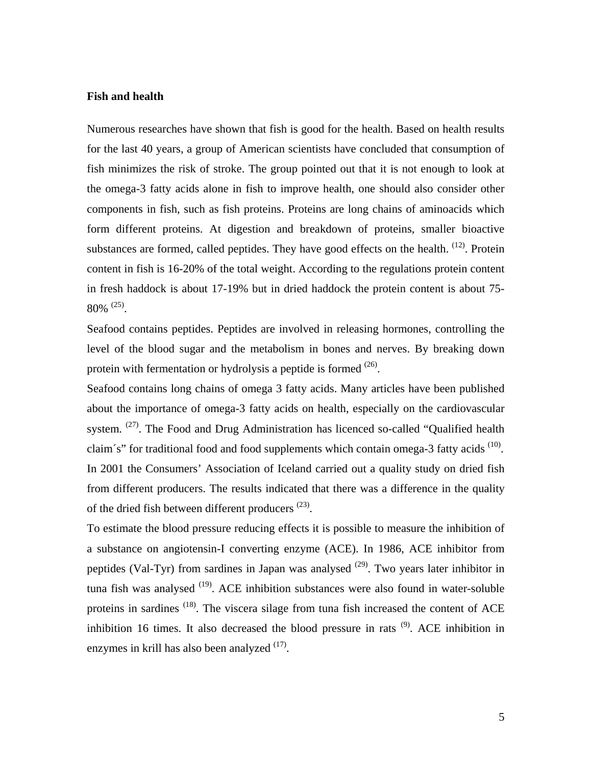#### <span id="page-8-0"></span>**Fish and health**

Numerous researches have shown that fish is good for the health. Based on health results for the last 40 years, a group of American scientists have concluded that consumption of fish minimizes the risk of stroke. The group pointed out that it is not enough to look at the omega-3 fatty acids alone in fish to improve health, one should also consider other components in fish, such as fish proteins. Proteins are long chains of aminoacids which form different proteins. At digestion and breakdown of proteins, smaller bioactive substances are formed, called peptides. They have good effects on the health.  $(12)$ . Protein content in fish is 16-20% of the total weight. According to the regulations protein content in fresh haddock is about 17-19% but in dried haddock the protein content is about 75-  $80\%$  <sup>(25)</sup>.

Seafood contains peptides. Peptides are involved in releasing hormones, controlling the level of the blood sugar and the metabolism in bones and nerves. By breaking down protein with fermentation or hydrolysis a peptide is formed <sup>(26)</sup>.

Seafood contains long chains of omega 3 fatty acids. Many articles have been published about the importance of omega-3 fatty acids on health, especially on the cardiovascular system. <sup>(27)</sup>. The Food and Drug Administration has licenced so-called "Qualified health claim's" for traditional food and food supplements which contain omega-3 fatty acids <sup>(10)</sup>. In 2001 the Consumers' Association of Iceland carried out a quality study on dried fish from different producers. The results indicated that there was a difference in the quality of the dried fish between different producers<sup>(23)</sup>.

To estimate the blood pressure reducing effects it is possible to measure the inhibition of a substance on angiotensin-I converting enzyme (ACE). In 1986, ACE inhibitor from peptides (Val-Tyr) from sardines in Japan was analysed  $(29)$ . Two years later inhibitor in tuna fish was analysed <sup>(19)</sup>. ACE inhibition substances were also found in water-soluble proteins in sardines <sup>(18)</sup>. The viscera silage from tuna fish increased the content of ACE inhibition 16 times. It also decreased the blood pressure in rats  $(9)$ . ACE inhibition in enzymes in krill has also been analyzed  $(17)$ .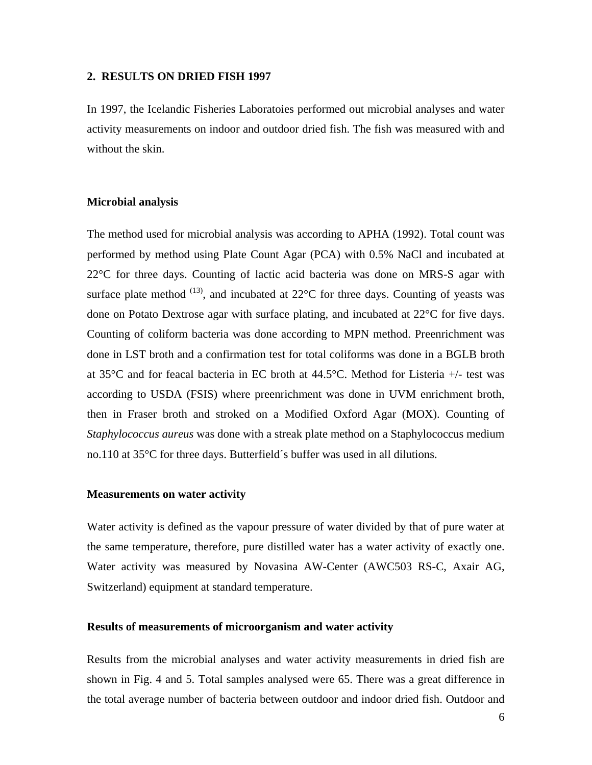#### <span id="page-9-0"></span>**2. RESULTS ON DRIED FISH 1997**

In 1997, the Icelandic Fisheries Laboratoies performed out microbial analyses and water activity measurements on indoor and outdoor dried fish. The fish was measured with and without the skin.

#### **Microbial analysis**

The method used for microbial analysis was according to APHA (1992). Total count was performed by method using Plate Count Agar (PCA) with 0.5% NaCl and incubated at 22°C for three days. Counting of lactic acid bacteria was done on MRS-S agar with surface plate method  $(13)$ , and incubated at 22 $^{\circ}$ C for three days. Counting of yeasts was done on Potato Dextrose agar with surface plating, and incubated at 22°C for five days. Counting of coliform bacteria was done according to MPN method. Preenrichment was done in LST broth and a confirmation test for total coliforms was done in a BGLB broth at 35°C and for feacal bacteria in EC broth at 44.5°C. Method for Listeria +/- test was according to USDA (FSIS) where preenrichment was done in UVM enrichment broth, then in Fraser broth and stroked on a Modified Oxford Agar (MOX). Counting of *Staphylococcus aureus* was done with a streak plate method on a Staphylococcus medium no.110 at 35°C for three days. Butterfield´s buffer was used in all dilutions.

#### **Measurements on water activity**

Water activity is defined as the vapour pressure of water divided by that of pure water at the same temperature, therefore, pure distilled water has a water activity of exactly one. Water activity was measured by Novasina AW-Center (AWC503 RS-C, Axair AG, Switzerland) equipment at standard temperature.

#### **Results of measurements of microorganism and water activity**

Results from the microbial analyses and water activity measurements in dried fish are shown in Fig. 4 and 5. Total samples analysed were 65. There was a great difference in the total average number of bacteria between outdoor and indoor dried fish. Outdoor and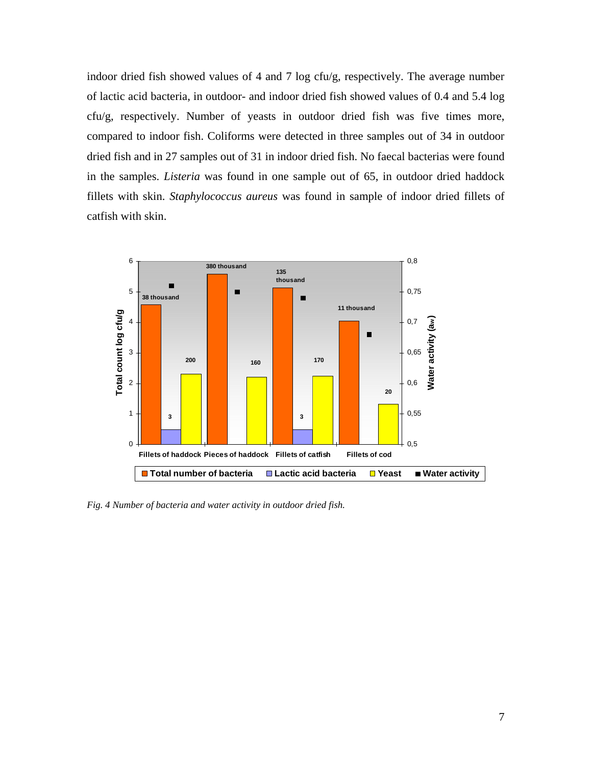indoor dried fish showed values of 4 and 7 log cfu/g, respectively. The average number of lactic acid bacteria, in outdoor- and indoor dried fish showed values of 0.4 and 5.4 log cfu/g, respectively. Number of yeasts in outdoor dried fish was five times more, compared to indoor fish. Coliforms were detected in three samples out of 34 in outdoor dried fish and in 27 samples out of 31 in indoor dried fish. No faecal bacterias were found in the samples. *Listeria* was found in one sample out of 65, in outdoor dried haddock fillets with skin. *Staphylococcus aureus* was found in sample of indoor dried fillets of catfish with skin.



*Fig. 4 Number of bacteria and water activity in outdoor dried fish.*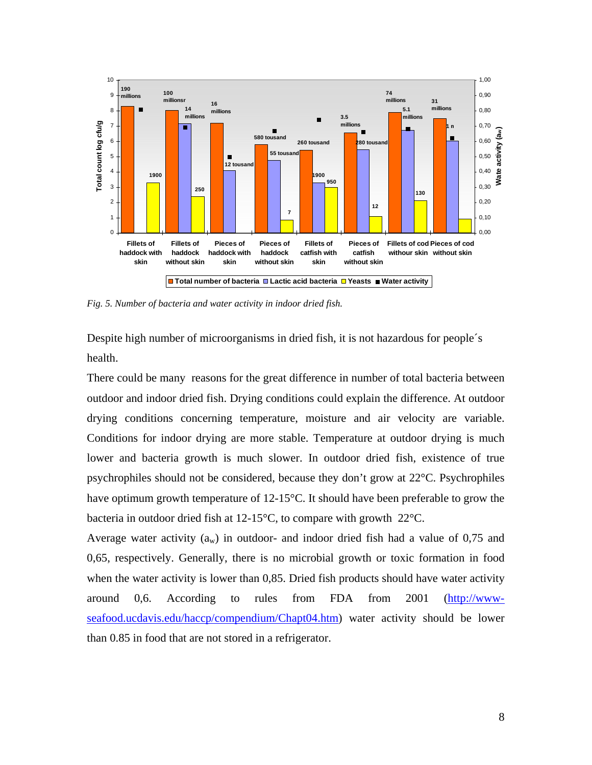

*Fig. 5. Number of bacteria and water activity in indoor dried fish.* 

Despite high number of microorganisms in dried fish, it is not hazardous for people´s health.

There could be many reasons for the great difference in number of total bacteria between outdoor and indoor dried fish. Drying conditions could explain the difference. At outdoor drying conditions concerning temperature, moisture and air velocity are variable. Conditions for indoor drying are more stable. Temperature at outdoor drying is much lower and bacteria growth is much slower. In outdoor dried fish, existence of true psychrophiles should not be considered, because they don't grow at 22°C. Psychrophiles have optimum growth temperature of 12-15°C. It should have been preferable to grow the bacteria in outdoor dried fish at 12-15°C, to compare with growth 22°C.

Average water activity  $(a_w)$  in outdoor- and indoor dried fish had a value of 0,75 and 0,65, respectively. Generally, there is no microbial growth or toxic formation in food when the water activity is lower than 0,85. Dried fish products should have water activity around 0,6. According to rules from FDA from 2001 [\(http://www](http://www-seafood.ucdavis.edu/haccp/compendium/Chapt04.htm)[seafood.ucdavis.edu/haccp/compendium/Chapt04.htm](http://www-seafood.ucdavis.edu/haccp/compendium/Chapt04.htm)) water activity should be lower than 0.85 in food that are not stored in a refrigerator.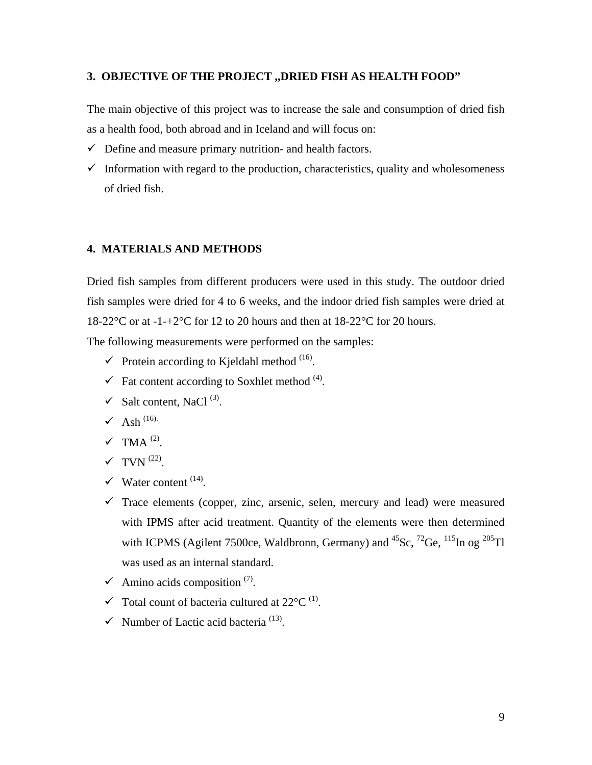#### <span id="page-12-0"></span>**3. OBJECTIVE OF THE PROJECT ,,DRIED FISH AS HEALTH FOOD"**

The main objective of this project was to increase the sale and consumption of dried fish as a health food, both abroad and in Iceland and will focus on:

- $\checkmark$  Define and measure primary nutrition- and health factors.
- $\checkmark$  Information with regard to the production, characteristics, quality and wholesomeness of dried fish.

#### **4. MATERIALS AND METHODS**

Dried fish samples from different producers were used in this study. The outdoor dried fish samples were dried for 4 to 6 weeks, and the indoor dried fish samples were dried at 18-22 $^{\circ}$ C or at -1-+2 $^{\circ}$ C for 12 to 20 hours and then at 18-22 $^{\circ}$ C for 20 hours.

The following measurements were performed on the samples:

- $\checkmark$  Protein according to Kjeldahl method <sup>(16)</sup>.
- $\checkmark$  Fat content according to Soxhlet method <sup>(4)</sup>.
- $\checkmark$  Salt content, NaCl<sup>(3)</sup>.
- $\checkmark$  Ash<sup>(16).</sup>
- $\checkmark$  TMA<sup>(2)</sup>.
- $\checkmark$  TVN  $^{(22)}$ .
- $\checkmark$  Water content  $(14)$ .
- $\checkmark$  Trace elements (copper, zinc, arsenic, selen, mercury and lead) were measured with IPMS after acid treatment. Quantity of the elements were then determined with ICPMS (Agilent 7500ce, Waldbronn, Germany) and  ${}^{45}Sc$ ,  ${}^{72}Ge$ ,  ${}^{115}In$  og  ${}^{205}Tl$ was used as an internal standard.
- $\checkmark$  Amino acids composition  $(7)$ .
- $\checkmark$  Total count of bacteria cultured at 22 $^{\circ}$ C<sup>(1)</sup>.
- $\checkmark$  Number of Lactic acid bacteria<sup>(13)</sup>.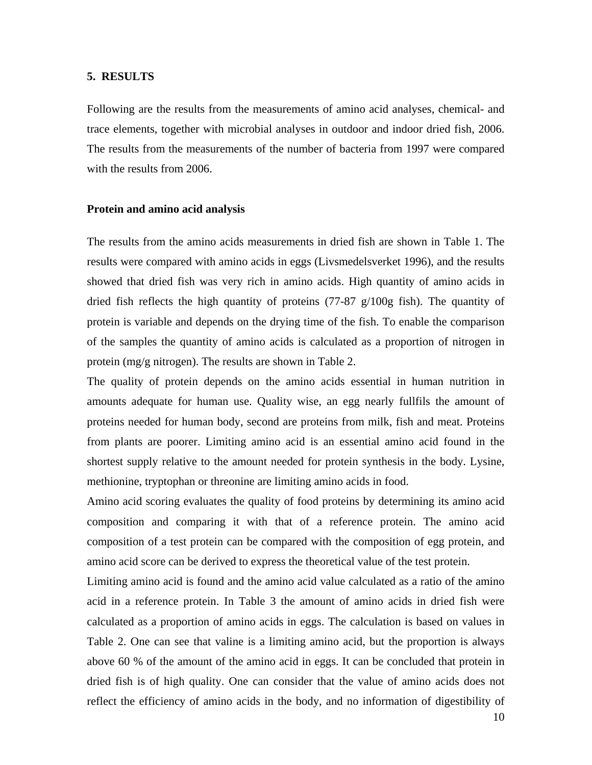#### <span id="page-13-0"></span>**5. RESULTS**

Following are the results from the measurements of amino acid analyses, chemical- and trace elements, together with microbial analyses in outdoor and indoor dried fish, 2006. The results from the measurements of the number of bacteria from 1997 were compared with the results from 2006.

#### **Protein and amino acid analysis**

The results from the amino acids measurements in dried fish are shown in Table 1. The results were compared with amino acids in eggs (Livsmedelsverket 1996), and the results showed that dried fish was very rich in amino acids. High quantity of amino acids in dried fish reflects the high quantity of proteins (77-87 g/100g fish). The quantity of protein is variable and depends on the drying time of the fish. To enable the comparison of the samples the quantity of amino acids is calculated as a proportion of nitrogen in protein (mg/g nitrogen). The results are shown in Table 2.

The quality of protein depends on the amino acids essential in human nutrition in amounts adequate for human use. Quality wise, an egg nearly fullfils the amount of proteins needed for human body, second are proteins from milk, fish and meat. Proteins from plants are poorer. Limiting amino acid is an essential amino acid found in the shortest supply relative to the amount needed for protein synthesis in the body. Lysine, methionine, tryptophan or threonine are limiting amino acids in food.

Amino acid scoring evaluates the quality of food proteins by determining its amino acid composition and comparing it with that of a reference protein. The amino acid composition of a test protein can be compared with the composition of egg protein, and amino acid score can be derived to express the theoretical value of the test protein.

Limiting amino acid is found and the amino acid value calculated as a ratio of the amino acid in a reference protein. In Table 3 the amount of amino acids in dried fish were calculated as a proportion of amino acids in eggs. The calculation is based on values in Table 2. One can see that valine is a limiting amino acid, but the proportion is always above 60 % of the amount of the amino acid in eggs. It can be concluded that protein in dried fish is of high quality. One can consider that the value of amino acids does not reflect the efficiency of amino acids in the body, and no information of digestibility of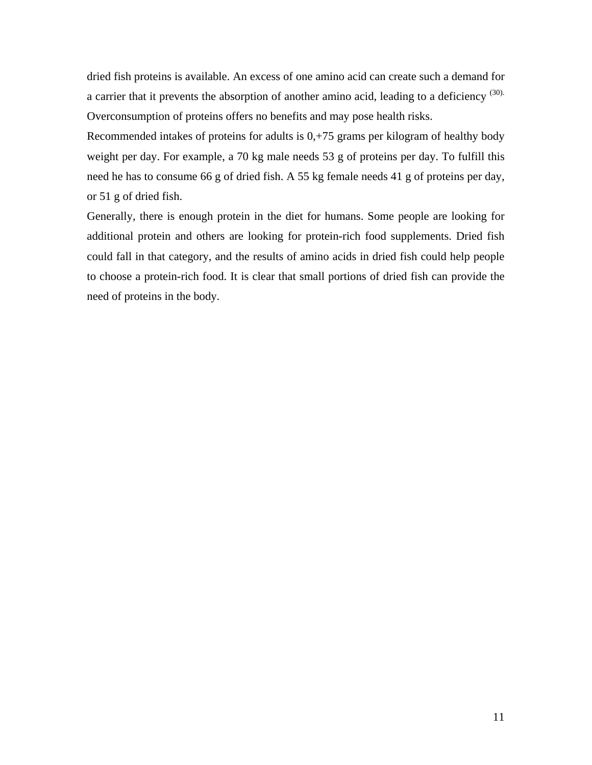dried fish proteins is available. An excess of one amino acid can create such a demand for a carrier that it prevents the absorption of another amino acid, leading to a deficiency <sup>(30).</sup> Overconsumption of proteins offers no benefits and may pose health risks.

Recommended intakes of proteins for adults is 0,+75 grams per kilogram of healthy body weight per day. For example, a 70 kg male needs 53 g of proteins per day. To fulfill this need he has to consume 66 g of dried fish. A 55 kg female needs 41 g of proteins per day, or 51 g of dried fish.

Generally, there is enough protein in the diet for humans. Some people are looking for additional protein and others are looking for protein-rich food supplements. Dried fish could fall in that category, and the results of amino acids in dried fish could help people to choose a protein-rich food. It is clear that small portions of dried fish can provide the need of proteins in the body.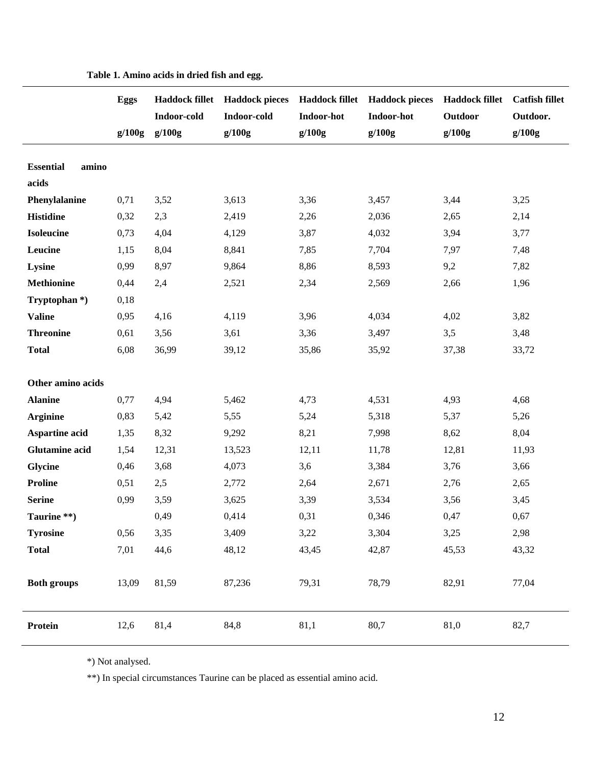|                                    | <b>Eggs</b><br>g/100g | Indoor-cold<br>g/100g | Haddock fillet Haddock pieces<br>Indoor-cold<br>g/100g | <b>Indoor-hot</b><br>g/100g | Haddock fillet Haddock pieces<br>Indoor-hot<br>g/100g | <b>Haddock fillet</b><br>Outdoor<br>g/100g | <b>Catfish fillet</b><br>Outdoor.<br>g/100g |
|------------------------------------|-----------------------|-----------------------|--------------------------------------------------------|-----------------------------|-------------------------------------------------------|--------------------------------------------|---------------------------------------------|
| <b>Essential</b><br>amino<br>acids |                       |                       |                                                        |                             |                                                       |                                            |                                             |
| Phenylalanine                      | 0,71                  | 3,52                  | 3,613                                                  | 3,36                        | 3,457                                                 | 3,44                                       | 3,25                                        |
| <b>Histidine</b>                   | 0,32                  | 2,3                   | 2,419                                                  | 2,26                        | 2,036                                                 | 2,65                                       | 2,14                                        |
| <b>Isoleucine</b>                  | 0,73                  | 4,04                  | 4,129                                                  | 3,87                        | 4,032                                                 | 3,94                                       | 3,77                                        |
| Leucine                            | 1,15                  | 8,04                  | 8,841                                                  | 7,85                        | 7,704                                                 | 7,97                                       | 7,48                                        |
| Lysine                             | 0,99                  | 8,97                  | 9,864                                                  | 8,86                        | 8,593                                                 | 9,2                                        | 7,82                                        |
| <b>Methionine</b>                  | 0,44                  | 2,4                   | 2,521                                                  | 2,34                        | 2,569                                                 | 2,66                                       | 1,96                                        |
| Tryptophan *)                      | 0,18                  |                       |                                                        |                             |                                                       |                                            |                                             |
| <b>Valine</b>                      | 0,95                  | 4,16                  | 4,119                                                  | 3,96                        | 4,034                                                 | 4,02                                       | 3,82                                        |
| <b>Threonine</b>                   | 0,61                  | 3,56                  | 3,61                                                   | 3,36                        | 3,497                                                 | 3,5                                        | 3,48                                        |
| <b>Total</b>                       | 6,08                  | 36,99                 | 39,12                                                  | 35,86                       | 35,92                                                 | 37,38                                      | 33,72                                       |
|                                    |                       |                       |                                                        |                             |                                                       |                                            |                                             |
| Other amino acids                  |                       |                       |                                                        |                             |                                                       |                                            |                                             |
| <b>Alanine</b>                     | 0,77                  | 4,94                  | 5,462                                                  | 4,73                        | 4,531                                                 | 4,93                                       | 4,68                                        |
| <b>Arginine</b>                    | 0,83                  | 5,42                  | 5,55                                                   | 5,24                        | 5,318                                                 | 5,37                                       | 5,26                                        |
| <b>Aspartine acid</b>              | 1,35                  | 8,32                  | 9,292                                                  | 8,21                        | 7,998                                                 | 8,62                                       | 8,04                                        |
| <b>Glutamine</b> acid              | 1,54                  | 12,31                 | 13,523                                                 | 12,11                       | 11,78                                                 | 12,81                                      | 11,93                                       |
| Glycine                            | 0,46                  | 3,68                  | 4,073                                                  | 3,6                         | 3,384                                                 | 3,76                                       | 3,66                                        |
| <b>Proline</b>                     | 0,51                  | 2,5                   | 2,772                                                  | 2,64                        | 2,671                                                 | 2,76                                       | 2,65                                        |
| <b>Serine</b>                      | 0,99                  | 3,59                  | 3,625                                                  | 3,39                        | 3,534                                                 | 3,56                                       | 3,45                                        |
| Taurine **)                        |                       | 0,49                  | 0,414                                                  | 0,31                        | 0,346                                                 | 0,47                                       | 0,67                                        |
| <b>Tyrosine</b>                    | 0,56                  | 3,35                  | 3,409                                                  | 3,22                        | 3,304                                                 | 3,25                                       | 2,98                                        |
| <b>Total</b>                       | 7,01                  | 44,6                  | 48,12                                                  | 43,45                       | 42,87                                                 | 45,53                                      | 43,32                                       |
| <b>Both groups</b>                 | 13,09                 | 81,59                 | 87,236                                                 | 79,31                       | 78,79                                                 | 82,91                                      | 77,04                                       |
| Protein                            | 12,6                  | 81,4                  | 84,8                                                   | 81,1                        | 80,7                                                  | 81,0                                       | 82,7                                        |

**Table 1. Amino acids in dried fish and egg.** 

\*) Not analysed.

\*\*) In special circumstances Taurine can be placed as essential amino acid.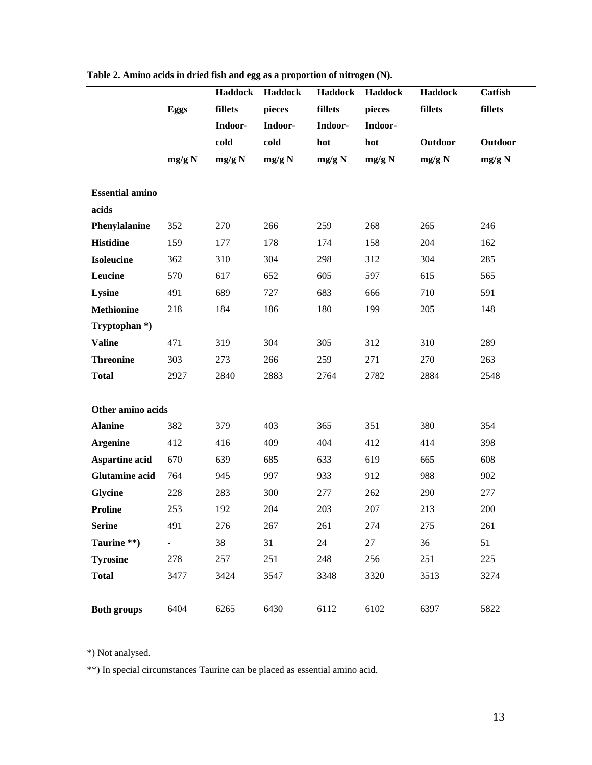|                           |             | Haddock | <b>Haddock</b> | <b>Haddock</b> | <b>Haddock</b> | Haddock | Catfish        |
|---------------------------|-------------|---------|----------------|----------------|----------------|---------|----------------|
|                           | <b>Eggs</b> | fillets | pieces         | fillets        | pieces         | fillets | fillets        |
|                           |             | Indoor- | Indoor-        | Indoor-        | Indoor-        |         |                |
|                           |             | cold    | cold           | hot            | hot            | Outdoor | <b>Outdoor</b> |
|                           | mg/g N      | mg/g N  | mg/g N         | mg/g N         | mg/g N         | mg/g N  | mg/g N         |
|                           |             |         |                |                |                |         |                |
| <b>Essential amino</b>    |             |         |                |                |                |         |                |
| acids                     |             |         |                |                |                |         |                |
| Phenylalanine             | 352         | 270     | 266            | 259            | 268            | 265     | 246            |
| <b>Histidine</b>          | 159         | 177     | 178            | 174            | 158            | 204     | 162            |
| <b>Isoleucine</b>         | 362         | 310     | 304            | 298            | 312            | 304     | 285            |
| Leucine                   | 570         | 617     | 652            | 605            | 597            | 615     | 565            |
| Lysine                    | 491         | 689     | 727            | 683            | 666            | 710     | 591            |
| <b>Methionine</b>         | 218         | 184     | 186            | 180            | 199            | 205     | 148            |
| Tryptophan <sup>*</sup> ) |             |         |                |                |                |         |                |
| <b>Valine</b>             | 471         | 319     | 304            | 305            | 312            | 310     | 289            |
| <b>Threonine</b>          | 303         | 273     | 266            | 259            | 271            | 270     | 263            |
| <b>Total</b>              | 2927        | 2840    | 2883           | 2764           | 2782           | 2884    | 2548           |
|                           |             |         |                |                |                |         |                |
| Other amino acids         |             |         |                |                |                |         |                |
| <b>Alanine</b>            | 382         | 379     | 403            | 365            | 351            | 380     | 354            |
| <b>Argenine</b>           | 412         | 416     | 409            | 404            | 412            | 414     | 398            |
| <b>Aspartine acid</b>     | 670         | 639     | 685            | 633            | 619            | 665     | 608            |
| <b>Glutamine acid</b>     | 764         | 945     | 997            | 933            | 912            | 988     | 902            |
| <b>Glycine</b>            | 228         | 283     | 300            | 277            | 262            | 290     | 277            |
| <b>Proline</b>            | 253         | 192     | 204            | 203            | 207            | 213     | 200            |
| <b>Serine</b>             | 491         | 276     | 267            | 261            | 274            | 275     | 261            |
| Taurine **)               | ÷,          | 38      | 31             | 24             | 27             | 36      | 51             |
| <b>Tyrosine</b>           | 278         | 257     | 251            | 248            | 256            | 251     | 225            |
| <b>Total</b>              | 3477        | 3424    | 3547           | 3348           | 3320           | 3513    | 3274           |
|                           |             |         |                |                |                |         |                |
| <b>Both groups</b>        | 6404        | 6265    | 6430           | 6112           | 6102           | 6397    | 5822           |

**Table 2. Amino acids in dried fish and egg as a proportion of nitrogen (N).** 

\*) Not analysed.

\*\*) In special circumstances Taurine can be placed as essential amino acid.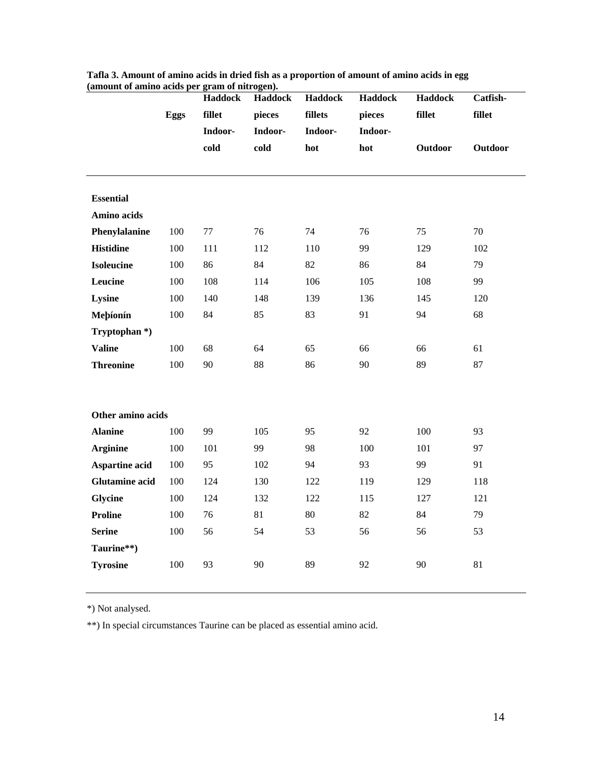| данюции от аннию acids рег gram от питоgen). |             | Haddock<br>fillet | Haddock           | Haddock<br>fillets | <b>Haddock</b><br>pieces | <b>Haddock</b><br>fillet | Catfish-<br>fillet |
|----------------------------------------------|-------------|-------------------|-------------------|--------------------|--------------------------|--------------------------|--------------------|
|                                              | <b>Eggs</b> | Indoor-           | pieces<br>Indoor- | Indoor-            | Indoor-                  |                          |                    |
|                                              |             | cold              | cold              | hot                | hot                      | <b>Outdoor</b>           | <b>Outdoor</b>     |
|                                              |             |                   |                   |                    |                          |                          |                    |
|                                              |             |                   |                   |                    |                          |                          |                    |
| <b>Essential</b>                             |             |                   |                   |                    |                          |                          |                    |
| Amino acids                                  |             |                   |                   |                    |                          |                          |                    |
| Phenylalanine                                | 100         | 77                | 76                | 74                 | 76                       | 75                       | 70                 |
| <b>Histidine</b>                             | 100         | 111               | 112               | 110                | 99                       | 129                      | 102                |
| <b>Isoleucine</b>                            | 100         | 86                | 84                | 82                 | 86                       | 84                       | 79                 |
| Leucine                                      | 100         | 108               | 114               | 106                | 105                      | 108                      | 99                 |
| Lysine                                       | 100         | 140               | 148               | 139                | 136                      | 145                      | 120                |
| Meþíonín                                     | 100         | 84                | 85                | 83                 | 91                       | 94                       | 68                 |
| Tryptophan <sup>*</sup> )                    |             |                   |                   |                    |                          |                          |                    |
| <b>Valine</b>                                | 100         | 68                | 64                | 65                 | 66                       | 66                       | 61                 |
| <b>Threonine</b>                             | 100         | 90                | 88                | 86                 | 90                       | 89                       | 87                 |
|                                              |             |                   |                   |                    |                          |                          |                    |
|                                              |             |                   |                   |                    |                          |                          |                    |
| Other amino acids                            |             |                   |                   |                    |                          |                          |                    |
| <b>Alanine</b>                               | 100         | 99                | 105               | 95                 | 92                       | 100                      | 93                 |
| <b>Arginine</b>                              | 100         | 101               | 99                | 98                 | 100                      | 101                      | 97                 |
| <b>Aspartine acid</b>                        | 100         | 95                | 102               | 94                 | 93                       | 99                       | 91                 |
| <b>Glutamine acid</b>                        | 100         | 124               | 130               | 122                | 119                      | 129                      | 118                |
| Glycine                                      | 100         | 124               | 132               | 122                | 115                      | 127                      | 121                |
| <b>Proline</b>                               | 100         | 76                | 81                | 80                 | 82                       | 84                       | 79                 |
| <b>Serine</b>                                | 100         | 56                | 54                | 53                 | 56                       | 56                       | 53                 |
| Taurine**)                                   |             |                   |                   |                    |                          |                          |                    |
| <b>Tyrosine</b>                              | 100         | 93                | 90                | 89                 | 92                       | 90                       | 81                 |
|                                              |             |                   |                   |                    |                          |                          |                    |

**Tafla 3. Amount of amino acids in dried fish as a proportion of amount of amino acids in egg (amount of amino acids per gram of nitrogen).** 

\*) Not analysed.

\*\*) In special circumstances Taurine can be placed as essential amino acid.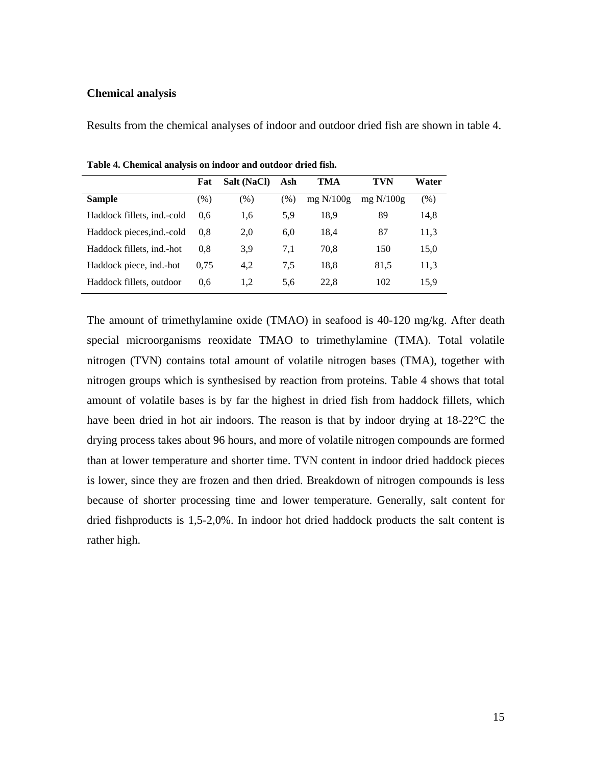#### <span id="page-18-0"></span>**Chemical analysis**

Results from the chemical analyses of indoor and outdoor dried fish are shown in table 4.

|                             | Fat    | Salt (NaCl) | Ash  | TMA         | TVN         | Water  |
|-----------------------------|--------|-------------|------|-------------|-------------|--------|
| Sample                      | $(\%)$ | $(\% )$     | (% ) | mg $N/100g$ | mg $N/100g$ | $(\%)$ |
| Haddock fillets, ind.-cold  | 0.6    | 1,6         | 5,9  | 18.9        | 89          | 14,8   |
| Haddock pieces, ind. - cold | 0.8    | 2.0         | 6,0  | 18.4        | 87          | 11,3   |
| Haddock fillets, ind.-hot   | 0.8    | 3.9         | 7,1  | 70.8        | 150         | 15,0   |
| Haddock piece, ind.-hot     | 0.75   | 4.2         | 7.5  | 18.8        | 81,5        | 11,3   |
| Haddock fillets, outdoor    | 0.6    | 1,2         | 5.6  | 22.8        | 102         | 15,9   |

**Table 4. Chemical analysis on indoor and outdoor dried fish.** 

The amount of trimethylamine oxide (TMAO) in seafood is 40-120 mg/kg. After death special microorganisms reoxidate TMAO to trimethylamine (TMA). Total volatile nitrogen (TVN) contains total amount of volatile nitrogen bases (TMA), together with nitrogen groups which is synthesised by reaction from proteins. Table 4 shows that total amount of volatile bases is by far the highest in dried fish from haddock fillets, which have been dried in hot air indoors. The reason is that by indoor drying at 18-22 °C the drying process takes about 96 hours, and more of volatile nitrogen compounds are formed than at lower temperature and shorter time. TVN content in indoor dried haddock pieces is lower, since they are frozen and then dried. Breakdown of nitrogen compounds is less because of shorter processing time and lower temperature. Generally, salt content for dried fishproducts is 1,5-2,0%. In indoor hot dried haddock products the salt content is rather high.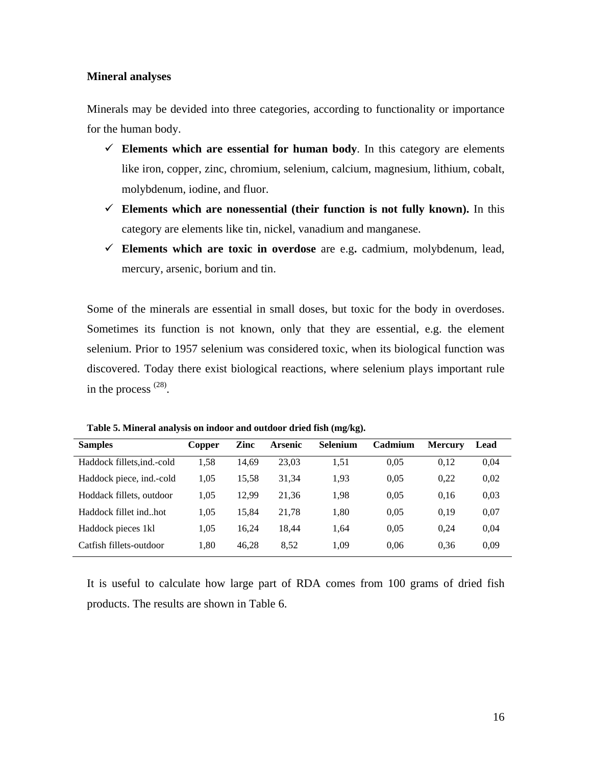#### <span id="page-19-0"></span>**Mineral analyses**

Minerals may be devided into three categories, according to functionality or importance for the human body.

- $\checkmark$  Elements which are essential for human body. In this category are elements like iron, copper, zinc, chromium, selenium, calcium, magnesium, lithium, cobalt, molybdenum, iodine, and fluor.
- $\checkmark$  Elements which are nonessential (their function is not fully known). In this category are elements like tin, nickel, vanadium and manganese.
- $\checkmark$  **Elements which are toxic in overdose** are e.g. cadmium, molybdenum, lead, mercury, arsenic, borium and tin.

Some of the minerals are essential in small doses, but toxic for the body in overdoses. Sometimes its function is not known, only that they are essential, e.g. the element selenium. Prior to 1957 selenium was considered toxic, when its biological function was discovered. Today there exist biological reactions, where selenium plays important rule in the process (28).

| <b>Samples</b>            | Copper | Zinc  | Arsenic | Selenium | Cadmium | <b>Mercury</b> | Lead |
|---------------------------|--------|-------|---------|----------|---------|----------------|------|
| Haddock fillets.ind.-cold | 1.58   | 14.69 | 23,03   | 1.51     | 0.05    | 0.12           | 0,04 |
| Haddock piece, ind.-cold  | 1.05   | 15.58 | 31.34   | 1.93     | 0.05    | 0.22           | 0.02 |
| Hoddack fillets, outdoor  | 1.05   | 12.99 | 21,36   | 1,98     | 0.05    | 0.16           | 0.03 |
| Haddock fillet indhot     | 1.05   | 15.84 | 21.78   | 1.80     | 0.05    | 0.19           | 0.07 |
| Haddock pieces 1kl        | 1.05   | 16.24 | 18.44   | 1.64     | 0.05    | 0.24           | 0.04 |
| Catfish fillets-outdoor   | 1.80   | 46.28 | 8.52    | 1.09     | 0.06    | 0.36           | 0.09 |

**Table 5. Mineral analysis on indoor and outdoor dried fish (mg/kg).** 

It is useful to calculate how large part of RDA comes from 100 grams of dried fish products. The results are shown in Table 6.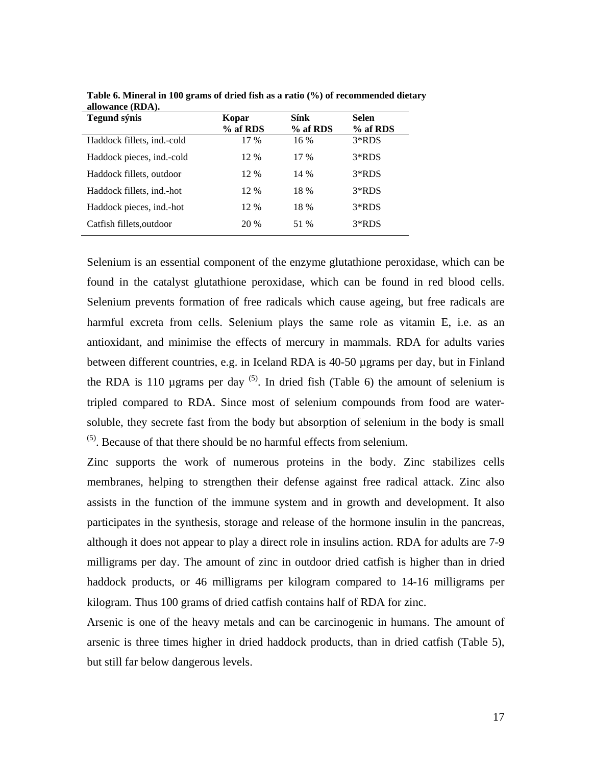| Tegund sýnis               | Kopar<br>% af RDS | Sínk<br>% af RDS | <b>Selen</b><br>% af RDS |
|----------------------------|-------------------|------------------|--------------------------|
| Haddock fillets, ind.-cold | 17 %              | 16 %             | $3*RDS$                  |
| Haddock pieces, ind.-cold  | 12 %              | $17\%$           | $3*RDS$                  |
| Haddock fillets, outdoor   | 12 %              | 14 %             | $3*RDS$                  |
| Haddock fillets, ind.-hot  | 12 %              | 18 %             | $3*RDS$                  |
| Haddock pieces, ind.-hot   | 12 %              | 18 %             | $3*RDS$                  |
| Catfish fillets, outdoor   | 20 %              | 51 %             | $3*RDS$                  |
|                            |                   |                  |                          |

**Table 6. Mineral in 100 grams of dried fish as a ratio (%) of recommended dietary allowance (RDA).** 

Selenium is an essential component of the enzyme glutathione peroxidase, which can be found in the catalyst glutathione peroxidase, which can be found in red blood cells. Selenium prevents formation of free radicals which cause ageing, but free radicals are harmful excreta from cells. Selenium plays the same role as vitamin E, i.e. as an antioxidant, and minimise the effects of mercury in mammals. RDA for adults varies between different countries, e.g. in Iceland RDA is 40-50 µgrams per day, but in Finland the RDA is 110 µgrams per day  $(5)$ . In dried fish (Table 6) the amount of selenium is tripled compared to RDA. Since most of selenium compounds from food are watersoluble, they secrete fast from the body but absorption of selenium in the body is small  $<sup>(5)</sup>$ . Because of that there should be no harmful effects from selenium.</sup>

Zinc supports the work of numerous proteins in the body. Zinc stabilizes cells membranes, helping to strengthen their defense against free radical attack. Zinc also assists in the function of the immune system and in growth and development. It also participates in the synthesis, storage and release of the hormone insulin in the pancreas, although it does not appear to play a direct role in insulins action. RDA for adults are 7-9 milligrams per day. The amount of zinc in outdoor dried catfish is higher than in dried haddock products, or 46 milligrams per kilogram compared to 14-16 milligrams per kilogram. Thus 100 grams of dried catfish contains half of RDA for zinc.

Arsenic is one of the heavy metals and can be carcinogenic in humans. The amount of arsenic is three times higher in dried haddock products, than in dried catfish (Table 5), but still far below dangerous levels.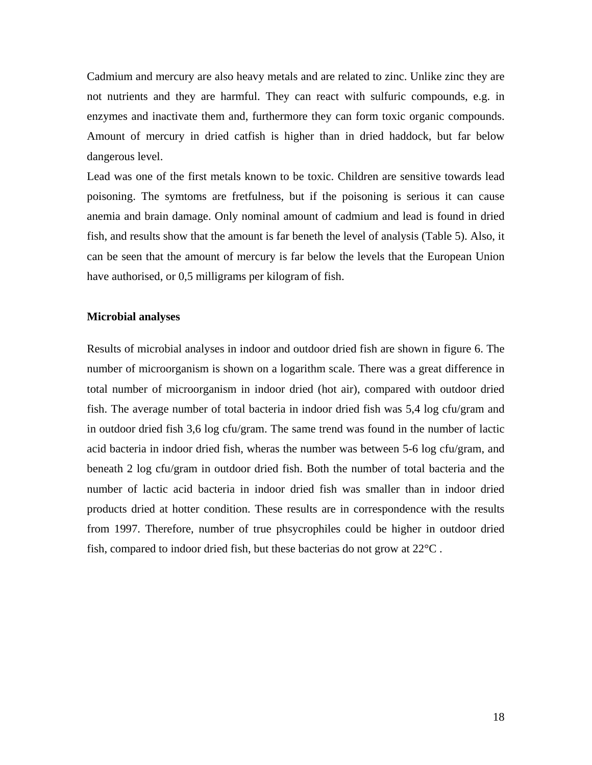<span id="page-21-0"></span>Cadmium and mercury are also heavy metals and are related to zinc. Unlike zinc they are not nutrients and they are harmful. They can react with sulfuric compounds, e.g. in enzymes and inactivate them and, furthermore they can form toxic organic compounds. Amount of mercury in dried catfish is higher than in dried haddock, but far below dangerous level.

Lead was one of the first metals known to be toxic. Children are sensitive towards lead poisoning. The symtoms are fretfulness, but if the poisoning is serious it can cause anemia and brain damage. Only nominal amount of cadmium and lead is found in dried fish, and results show that the amount is far beneth the level of analysis (Table 5). Also, it can be seen that the amount of mercury is far below the levels that the European Union have authorised, or 0,5 milligrams per kilogram of fish.

#### **Microbial analyses**

Results of microbial analyses in indoor and outdoor dried fish are shown in figure 6. The number of microorganism is shown on a logarithm scale. There was a great difference in total number of microorganism in indoor dried (hot air), compared with outdoor dried fish. The average number of total bacteria in indoor dried fish was 5,4 log cfu/gram and in outdoor dried fish 3,6 log cfu/gram. The same trend was found in the number of lactic acid bacteria in indoor dried fish, wheras the number was between 5-6 log cfu/gram, and beneath 2 log cfu/gram in outdoor dried fish. Both the number of total bacteria and the number of lactic acid bacteria in indoor dried fish was smaller than in indoor dried products dried at hotter condition. These results are in correspondence with the results from 1997. Therefore, number of true phsycrophiles could be higher in outdoor dried fish, compared to indoor dried fish, but these bacterias do not grow at 22°C .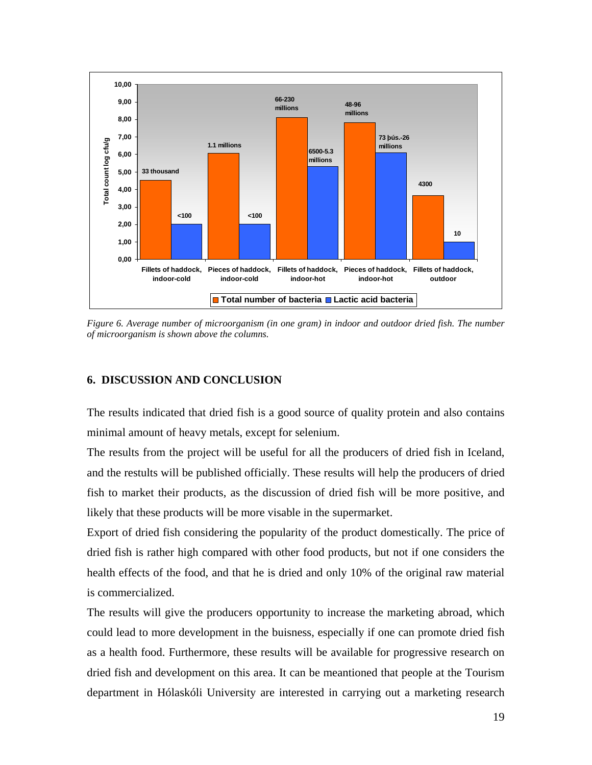<span id="page-22-0"></span>

*Figure 6. Average number of microorganism (in one gram) in indoor and outdoor dried fish. The number of microorganism is shown above the columns.* 

## **6. DISCUSSION AND CONCLUSION**

The results indicated that dried fish is a good source of quality protein and also contains minimal amount of heavy metals, except for selenium.

The results from the project will be useful for all the producers of dried fish in Iceland, and the restults will be published officially. These results will help the producers of dried fish to market their products, as the discussion of dried fish will be more positive, and likely that these products will be more visable in the supermarket.

Export of dried fish considering the popularity of the product domestically. The price of dried fish is rather high compared with other food products, but not if one considers the health effects of the food, and that he is dried and only 10% of the original raw material is commercialized.

The results will give the producers opportunity to increase the marketing abroad, which could lead to more development in the buisness, especially if one can promote dried fish as a health food. Furthermore, these results will be available for progressive research on dried fish and development on this area. It can be meantioned that people at the Tourism department in Hólaskóli University are interested in carrying out a marketing research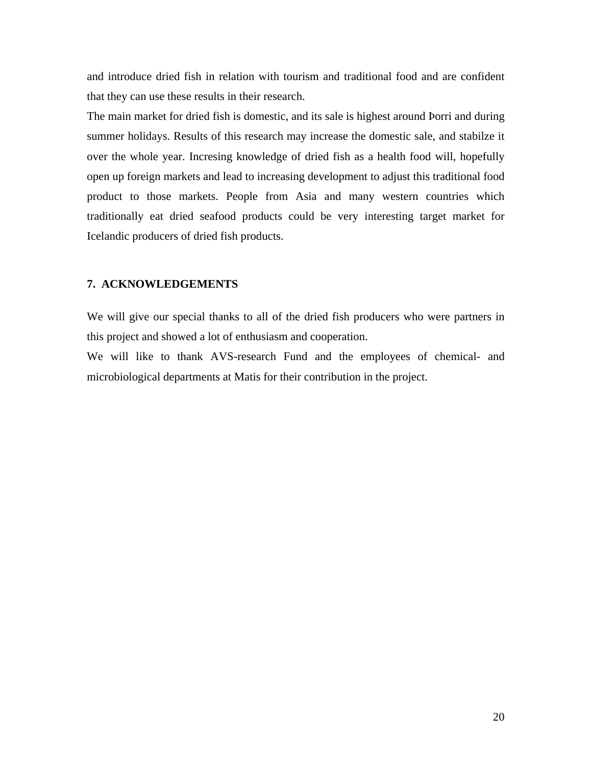<span id="page-23-0"></span>and introduce dried fish in relation with tourism and traditional food and are confident that they can use these results in their research.

The main market for dried fish is domestic, and its sale is highest around Þorri and during summer holidays. Results of this research may increase the domestic sale, and stabilze it over the whole year. Incresing knowledge of dried fish as a health food will, hopefully open up foreign markets and lead to increasing development to adjust this traditional food product to those markets. People from Asia and many western countries which traditionally eat dried seafood products could be very interesting target market for Icelandic producers of dried fish products.

#### **7. ACKNOWLEDGEMENTS**

We will give our special thanks to all of the dried fish producers who were partners in this project and showed a lot of enthusiasm and cooperation.

We will like to thank AVS-research Fund and the employees of chemical- and microbiological departments at Matis for their contribution in the project.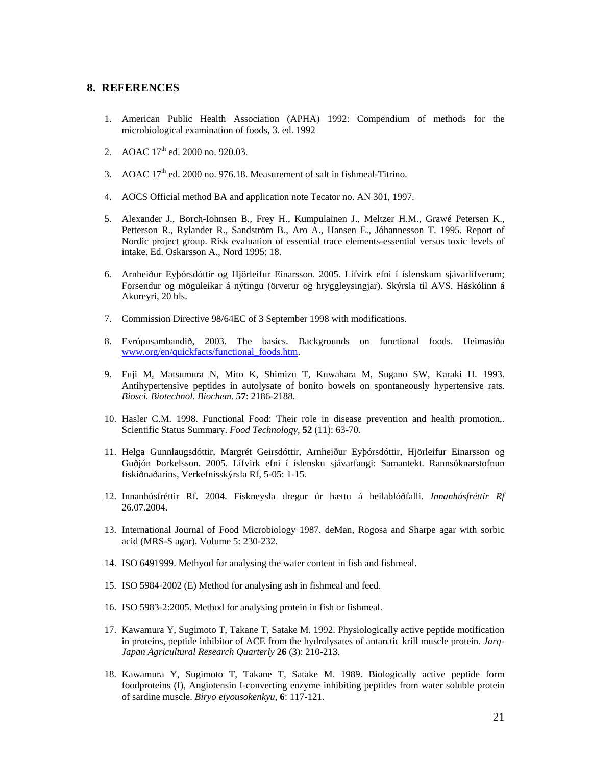#### <span id="page-24-0"></span>**8. REFERENCES**

- 1. American Public Health Association (APHA) 1992: Compendium of methods for the microbiological examination of foods, 3. ed. 1992
- 2. AOAC 17<sup>th</sup> ed. 2000 no. 920.03.
- 3. AOAC  $17<sup>th</sup>$  ed. 2000 no. 976.18. Measurement of salt in fishmeal-Titrino.
- 4. AOCS Official method BA and application note Tecator no. AN 301, 1997.
- 5. Alexander J., Borch-Iohnsen B., Frey H., Kumpulainen J., Meltzer H.M., Grawé Petersen K., Petterson R., Rylander R., Sandström B., Aro A., Hansen E., Jóhannesson T. 1995. Report of Nordic project group. Risk evaluation of essential trace elements-essential versus toxic levels of intake. Ed. Oskarsson A., Nord 1995: 18.
- 6. Arnheiður Eyþórsdóttir og Hjörleifur Einarsson. 2005. Lífvirk efni í íslenskum sjávarlífverum; Forsendur og möguleikar á nýtingu (örverur og hryggleysingjar). Skýrsla til AVS. Háskólinn á Akureyri, 20 bls.
- 7. Commission Directive 98/64EC of 3 September 1998 with modifications.
- 8. Evrópusambandið, 2003. The basics. Backgrounds on functional foods. Heimasíða [www.org/en/quickfacts/functional\\_foods.htm](http://www.org/en/quickfacts/functional_foods.htm).
- 9. Fuji M, Matsumura N, Mito K, Shimizu T, Kuwahara M, Sugano SW, Karaki H. 1993. Antihypertensive peptides in autolysate of bonito bowels on spontaneously hypertensive rats. *Biosci. Biotechnol. Biochem*. **57**: 2186-2188.
- 10. Hasler C.M. 1998. Functional Food: Their role in disease prevention and health promotion,. Scientific Status Summary. *Food Technology*, **52** (11): 63-70.
- 11. Helga Gunnlaugsdóttir, Margrét Geirsdóttir, Arnheiður Eyþórsdóttir, Hjörleifur Einarsson og Guðjón Þorkelsson. 2005. Lífvirk efni í íslensku sjávarfangi: Samantekt. Rannsóknarstofnun fiskiðnaðarins, Verkefnisskýrsla Rf, 5-05: 1-15.
- 12. Innanhúsfréttir Rf. 2004. Fiskneysla dregur úr hættu á heilablóðfalli. *Innanhúsfréttir Rf* 26.07.2004.
- 13. International Journal of Food Microbiology 1987. deMan, Rogosa and Sharpe agar with sorbic acid (MRS-S agar). Volume 5: 230-232.
- 14. ISO 6491999. Methyod for analysing the water content in fish and fishmeal.
- 15. ISO 5984-2002 (E) Method for analysing ash in fishmeal and feed.
- 16. ISO 5983-2:2005. Method for analysing protein in fish or fishmeal.
- 17. Kawamura Y, Sugimoto T, Takane T, Satake M. 1992. Physiologically active peptide motification in proteins, peptide inhibitor of ACE from the hydrolysates of antarctic krill muscle protein. *Jarq-Japan Agricultural Research Quarterly* **26** (3): 210-213.
- 18. Kawamura Y, Sugimoto T, Takane T, Satake M. 1989. Biologically active peptide form foodproteins (I), Angiotensin I-converting enzyme inhibiting peptides from water soluble protein of sardine muscle. *Biryo eiyousokenkyu*, **6**: 117-121.